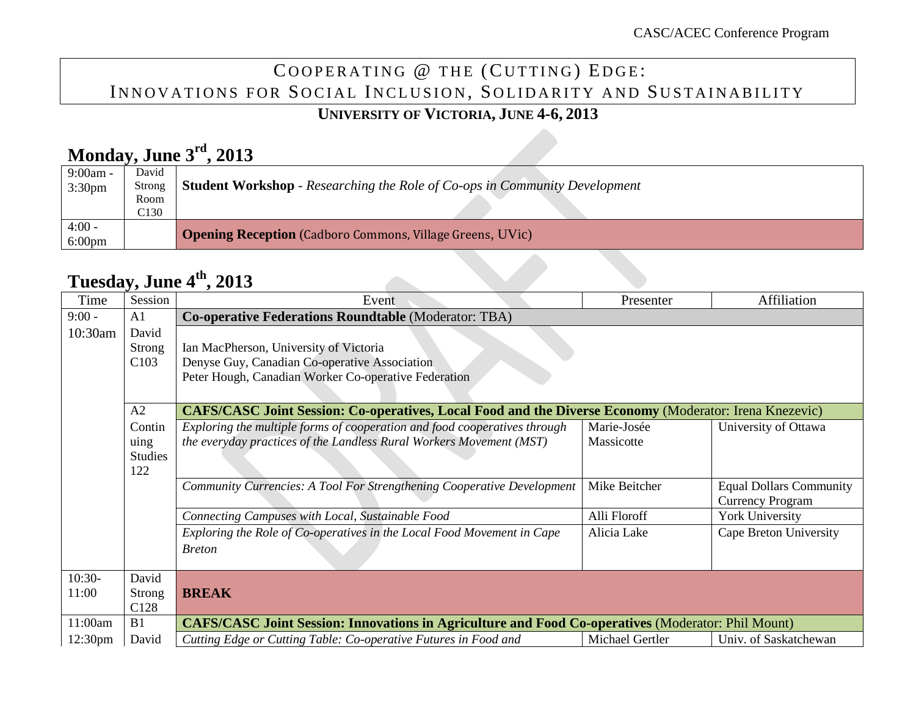# COOPERATING @ THE (CUTTING) EDGE: INNOVATIONS FOR SOCIAL INCLUSION, SOLIDARITY AND SUSTAINABILITY

#### **UNIVERSITY OF VICTORIA, JUNE 4-6, 2013**

# **Monday, June 3rd, 2013**

| $9:00am -$         | David  |                                                                                   |
|--------------------|--------|-----------------------------------------------------------------------------------|
| 3:30 <sub>pm</sub> | Strong | <b>Student Workshop</b> - Researching the Role of Co-ops in Community Development |
|                    | Room   |                                                                                   |
|                    | C130   |                                                                                   |
| $4:00 -$           |        |                                                                                   |
| $6:00 \text{pm}$   |        | <b>Opening Reception</b> (Cadboro Commons, Village Greens, UVic)                  |

#### **Tuesday, June 4th, 2013**

| Time     | Session          | Event                                                                                                         | Presenter       | Affiliation                    |  |  |
|----------|------------------|---------------------------------------------------------------------------------------------------------------|-----------------|--------------------------------|--|--|
| $9:00 -$ | A <sub>1</sub>   | <b>Co-operative Federations Roundtable (Moderator: TBA)</b>                                                   |                 |                                |  |  |
| 10:30am  | David            |                                                                                                               |                 |                                |  |  |
|          | <b>Strong</b>    | Ian MacPherson, University of Victoria                                                                        |                 |                                |  |  |
|          | C103             | Denyse Guy, Canadian Co-operative Association                                                                 |                 |                                |  |  |
|          |                  | Peter Hough, Canadian Worker Co-operative Federation                                                          |                 |                                |  |  |
|          |                  |                                                                                                               |                 |                                |  |  |
|          | A2               | <b>CAFS/CASC Joint Session: Co-operatives, Local Food and the Diverse Economy (Moderator: Irena Knezevic)</b> |                 |                                |  |  |
|          | Contin           | Exploring the multiple forms of cooperation and food cooperatives through                                     | Marie-Josée     | University of Ottawa           |  |  |
|          | uing             | the everyday practices of the Landless Rural Workers Movement (MST)                                           | Massicotte      |                                |  |  |
|          | <b>Studies</b>   |                                                                                                               |                 |                                |  |  |
|          | 122              |                                                                                                               |                 |                                |  |  |
|          |                  | Community Currencies: A Tool For Strengthening Cooperative Development                                        | Mike Beitcher   | <b>Equal Dollars Community</b> |  |  |
|          |                  |                                                                                                               |                 | <b>Currency Program</b>        |  |  |
|          |                  | Connecting Campuses with Local, Sustainable Food                                                              | Alli Floroff    | York University                |  |  |
|          |                  | Exploring the Role of Co-operatives in the Local Food Movement in Cape                                        | Alicia Lake     | Cape Breton University         |  |  |
|          |                  | <b>Breton</b>                                                                                                 |                 |                                |  |  |
|          |                  |                                                                                                               |                 |                                |  |  |
| $10:30-$ | David            |                                                                                                               |                 |                                |  |  |
| 11:00    | <b>Strong</b>    | <b>BREAK</b>                                                                                                  |                 |                                |  |  |
|          | C <sub>128</sub> |                                                                                                               |                 |                                |  |  |
| 11:00am  | <b>B</b> 1       | <b>CAFS/CASC Joint Session: Innovations in Agriculture and Food Co-operatives (Moderator: Phil Mount)</b>     |                 |                                |  |  |
| 12:30pm  | David            | Cutting Edge or Cutting Table: Co-operative Futures in Food and                                               | Michael Gertler | Univ. of Saskatchewan          |  |  |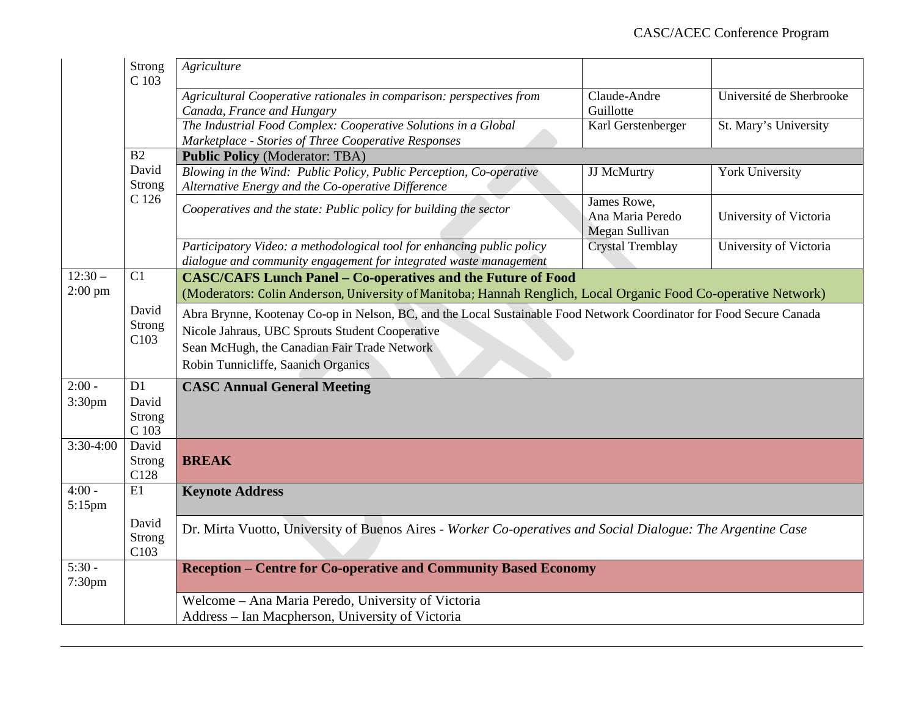|                                | <b>Strong</b><br>C 103                                                                                                                                                                                                                                                                    | Agriculture                                                                                                                                                                           |                                                   |                          |  |
|--------------------------------|-------------------------------------------------------------------------------------------------------------------------------------------------------------------------------------------------------------------------------------------------------------------------------------------|---------------------------------------------------------------------------------------------------------------------------------------------------------------------------------------|---------------------------------------------------|--------------------------|--|
|                                |                                                                                                                                                                                                                                                                                           | Agricultural Cooperative rationales in comparison: perspectives from<br>Canada, France and Hungary                                                                                    | Claude-Andre<br>Guillotte                         | Université de Sherbrooke |  |
|                                |                                                                                                                                                                                                                                                                                           | The Industrial Food Complex: Cooperative Solutions in a Global<br>Marketplace - Stories of Three Cooperative Responses                                                                | Karl Gerstenberger                                | St. Mary's University    |  |
|                                | B2                                                                                                                                                                                                                                                                                        | <b>Public Policy (Moderator: TBA)</b>                                                                                                                                                 |                                                   |                          |  |
|                                | David<br>Strong                                                                                                                                                                                                                                                                           | Blowing in the Wind: Public Policy, Public Perception, Co-operative<br>Alternative Energy and the Co-operative Difference                                                             | JJ McMurtry                                       | York University          |  |
|                                | C 126                                                                                                                                                                                                                                                                                     | Cooperatives and the state: Public policy for building the sector                                                                                                                     | James Rowe,<br>Ana Maria Peredo<br>Megan Sullivan | University of Victoria   |  |
|                                |                                                                                                                                                                                                                                                                                           | Participatory Video: a methodological tool for enhancing public policy<br>dialogue and community engagement for integrated waste management                                           | <b>Crystal Tremblay</b>                           | University of Victoria   |  |
| $12:30-$<br>$2:00$ pm          | C1                                                                                                                                                                                                                                                                                        | <b>CASC/CAFS Lunch Panel - Co-operatives and the Future of Food</b><br>(Moderators: Colin Anderson, University of Manitoba; Hannah Renglich, Local Organic Food Co-operative Network) |                                                   |                          |  |
|                                | David<br>Abra Brynne, Kootenay Co-op in Nelson, BC, and the Local Sustainable Food Network Coordinator for Food Secure Canada<br>Strong<br>Nicole Jahraus, UBC Sprouts Student Cooperative<br>C103<br>Sean McHugh, the Canadian Fair Trade Network<br>Robin Tunnicliffe, Saanich Organics |                                                                                                                                                                                       |                                                   |                          |  |
| $2:00 -$<br>3:30pm             | D1<br>David<br>Strong<br>$\rm C$ 103                                                                                                                                                                                                                                                      | <b>CASC Annual General Meeting</b>                                                                                                                                                    |                                                   |                          |  |
| $3:30-4:00$                    | David<br>Strong<br>C128                                                                                                                                                                                                                                                                   | <b>BREAK</b>                                                                                                                                                                          |                                                   |                          |  |
| $4:00 -$<br>$5:15$ pm          | E1                                                                                                                                                                                                                                                                                        | <b>Keynote Address</b>                                                                                                                                                                |                                                   |                          |  |
|                                | David<br>Strong<br>C103                                                                                                                                                                                                                                                                   | Dr. Mirta Vuotto, University of Buenos Aires - Worker Co-operatives and Social Dialogue: The Argentine Case                                                                           |                                                   |                          |  |
| $5:30 -$<br>7:30 <sub>pm</sub> |                                                                                                                                                                                                                                                                                           | <b>Reception - Centre for Co-operative and Community Based Economy</b>                                                                                                                |                                                   |                          |  |
|                                |                                                                                                                                                                                                                                                                                           | Welcome - Ana Maria Peredo, University of Victoria<br>Address - Ian Macpherson, University of Victoria                                                                                |                                                   |                          |  |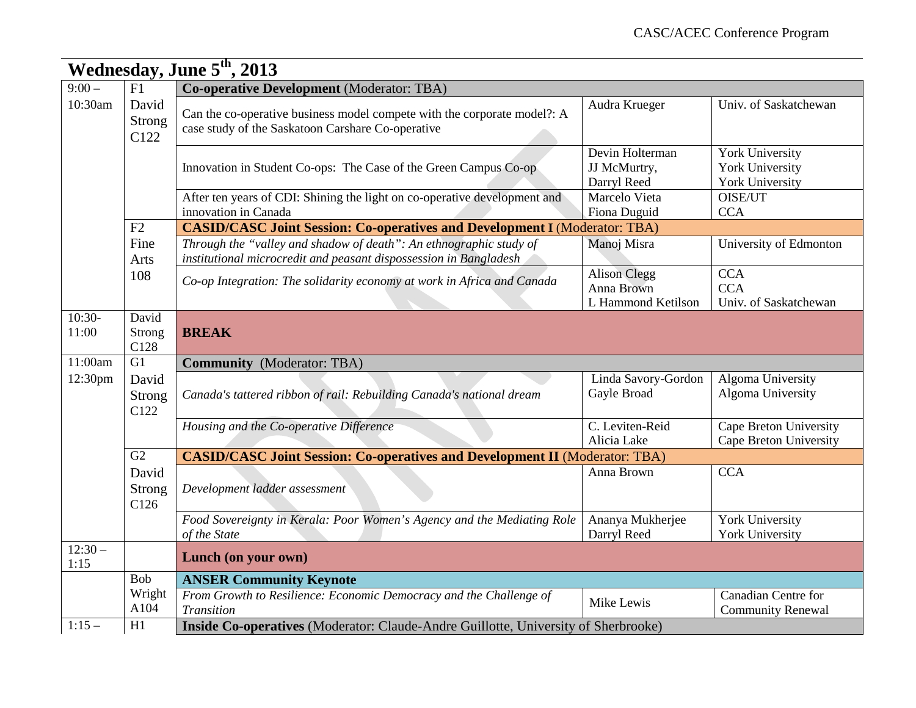|                   | Wednesday, June 5 <sup>th</sup> , 2013 |                                                                                                                                         |                                                         |                                                                     |  |
|-------------------|----------------------------------------|-----------------------------------------------------------------------------------------------------------------------------------------|---------------------------------------------------------|---------------------------------------------------------------------|--|
| $9:00-$           | F1                                     | <b>Co-operative Development</b> (Moderator: TBA)                                                                                        |                                                         |                                                                     |  |
| 10:30am           | David<br>Strong<br>C122                | Can the co-operative business model compete with the corporate model?: A<br>case study of the Saskatoon Carshare Co-operative           | Audra Krueger                                           | Univ. of Saskatchewan                                               |  |
|                   |                                        | Innovation in Student Co-ops: The Case of the Green Campus Co-op                                                                        | Devin Holterman<br>JJ McMurtry,<br>Darryl Reed          | <b>York University</b><br>York University<br><b>York University</b> |  |
|                   |                                        | After ten years of CDI: Shining the light on co-operative development and<br>innovation in Canada                                       | Marcelo Vieta<br>Fiona Duguid                           | OISE/UT<br><b>CCA</b>                                               |  |
|                   | F2                                     | <b>CASID/CASC Joint Session: Co-operatives and Development I (Moderator: TBA)</b>                                                       |                                                         |                                                                     |  |
|                   | Fine<br>Arts                           | Through the "valley and shadow of death": An ethnographic study of<br>institutional microcredit and peasant dispossession in Bangladesh | Manoj Misra                                             | University of Edmonton                                              |  |
|                   | 108                                    | Co-op Integration: The solidarity economy at work in Africa and Canada                                                                  | <b>Alison Clegg</b><br>Anna Brown<br>L Hammond Ketilson | <b>CCA</b><br><b>CCA</b><br>Univ. of Saskatchewan                   |  |
| $10:30-$<br>11:00 | David<br>Strong<br>C128                | <b>BREAK</b>                                                                                                                            |                                                         |                                                                     |  |
| 11:00am           | G1                                     | <b>Community</b> (Moderator: TBA)                                                                                                       |                                                         |                                                                     |  |
| 12:30pm           | David<br>Strong<br>C122                | Canada's tattered ribbon of rail: Rebuilding Canada's national dream                                                                    | Linda Savory-Gordon<br>Gayle Broad                      | Algoma University<br>Algoma University                              |  |
|                   |                                        | Housing and the Co-operative Difference                                                                                                 | C. Leviten-Reid<br>Alicia Lake                          | Cape Breton University<br>Cape Breton University                    |  |
|                   | G2                                     | <b>CASID/CASC Joint Session: Co-operatives and Development II (Moderator: TBA)</b>                                                      |                                                         |                                                                     |  |
|                   | David<br>Strong<br>C126                | Development ladder assessment                                                                                                           | Anna Brown                                              | <b>CCA</b>                                                          |  |
|                   |                                        | Food Sovereignty in Kerala: Poor Women's Agency and the Mediating Role<br>of the State                                                  | Ananya Mukherjee<br>Darryl Reed                         | <b>York University</b><br><b>York University</b>                    |  |
| $12:30-$<br>1:15  |                                        | Lunch (on your own)                                                                                                                     |                                                         |                                                                     |  |
|                   | Bob                                    | <b>ANSER Community Keynote</b>                                                                                                          |                                                         |                                                                     |  |
|                   | Wright<br>A104                         | From Growth to Resilience: Economic Democracy and the Challenge of<br>Transition                                                        | Mike Lewis                                              | Canadian Centre for<br><b>Community Renewal</b>                     |  |
| $1:15-$           | H1                                     | Inside Co-operatives (Moderator: Claude-Andre Guillotte, University of Sherbrooke)                                                      |                                                         |                                                                     |  |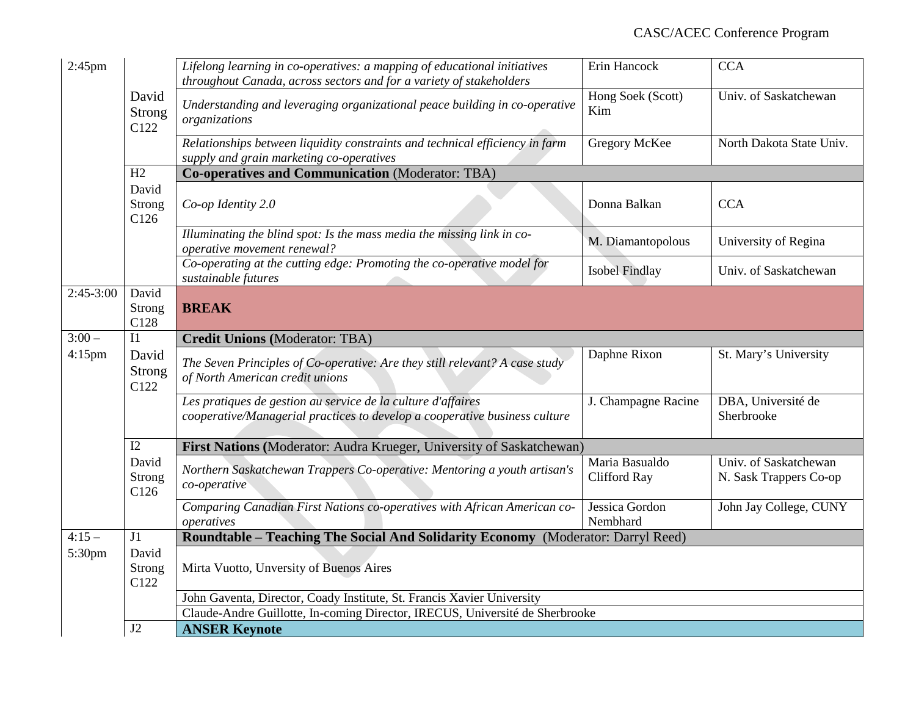| $2:45$ pm   |                         | Lifelong learning in co-operatives: a mapping of educational initiatives<br>throughout Canada, across sectors and for a variety of stakeholders | Erin Hancock                   | <b>CCA</b>                                      |
|-------------|-------------------------|-------------------------------------------------------------------------------------------------------------------------------------------------|--------------------------------|-------------------------------------------------|
|             | David<br>Strong<br>C122 | Understanding and leveraging organizational peace building in co-operative<br>organizations                                                     | Hong Soek (Scott)<br>Kim       | Univ. of Saskatchewan                           |
|             |                         | Relationships between liquidity constraints and technical efficiency in farm<br>supply and grain marketing co-operatives                        | Gregory McKee                  | North Dakota State Univ.                        |
|             | H2                      | <b>Co-operatives and Communication (Moderator: TBA)</b>                                                                                         |                                |                                                 |
|             | David<br>Strong<br>C126 | Co-op Identity 2.0                                                                                                                              | Donna Balkan                   | <b>CCA</b>                                      |
|             |                         | Illuminating the blind spot: Is the mass media the missing link in co-<br>operative movement renewal?                                           | M. Diamantopolous              | University of Regina                            |
|             |                         | Co-operating at the cutting edge: Promoting the co-operative model for<br>sustainable futures                                                   | <b>Isobel Findlay</b>          | Univ. of Saskatchewan                           |
| $2:45-3:00$ | David                   |                                                                                                                                                 |                                |                                                 |
|             | Strong<br>C128          | <b>BREAK</b>                                                                                                                                    |                                |                                                 |
| $3:00 -$    | I1                      | <b>Credit Unions (Moderator: TBA)</b>                                                                                                           |                                |                                                 |
| $4:15$ pm   | David<br>Strong<br>C122 | The Seven Principles of Co-operative: Are they still relevant? A case study<br>of North American credit unions                                  | Daphne Rixon                   | St. Mary's University                           |
|             |                         | Les pratiques de gestion au service de la culture d'affaires<br>cooperative/Managerial practices to develop a cooperative business culture      | J. Champagne Racine            | DBA, Université de<br>Sherbrooke                |
|             | I2                      | First Nations (Moderator: Audra Krueger, University of Saskatchewan)                                                                            |                                |                                                 |
|             | David<br>Strong<br>C126 | Northern Saskatchewan Trappers Co-operative: Mentoring a youth artisan's<br>co-operative                                                        | Maria Basualdo<br>Clifford Ray | Univ. of Saskatchewan<br>N. Sask Trappers Co-op |
|             |                         | Comparing Canadian First Nations co-operatives with African American co-<br>operatives                                                          | Jessica Gordon<br>Nembhard     | John Jay College, CUNY                          |
| $4:15-$     | J1                      | Roundtable - Teaching The Social And Solidarity Economy (Moderator: Darryl Reed)                                                                |                                |                                                 |
| 5:30pm      | David<br>Strong<br>C122 | Mirta Vuotto, Unversity of Buenos Aires                                                                                                         |                                |                                                 |
|             |                         | John Gaventa, Director, Coady Institute, St. Francis Xavier University                                                                          |                                |                                                 |
|             |                         | Claude-Andre Guillotte, In-coming Director, IRECUS, Université de Sherbrooke                                                                    |                                |                                                 |
|             | J2                      | <b>ANSER Keynote</b>                                                                                                                            |                                |                                                 |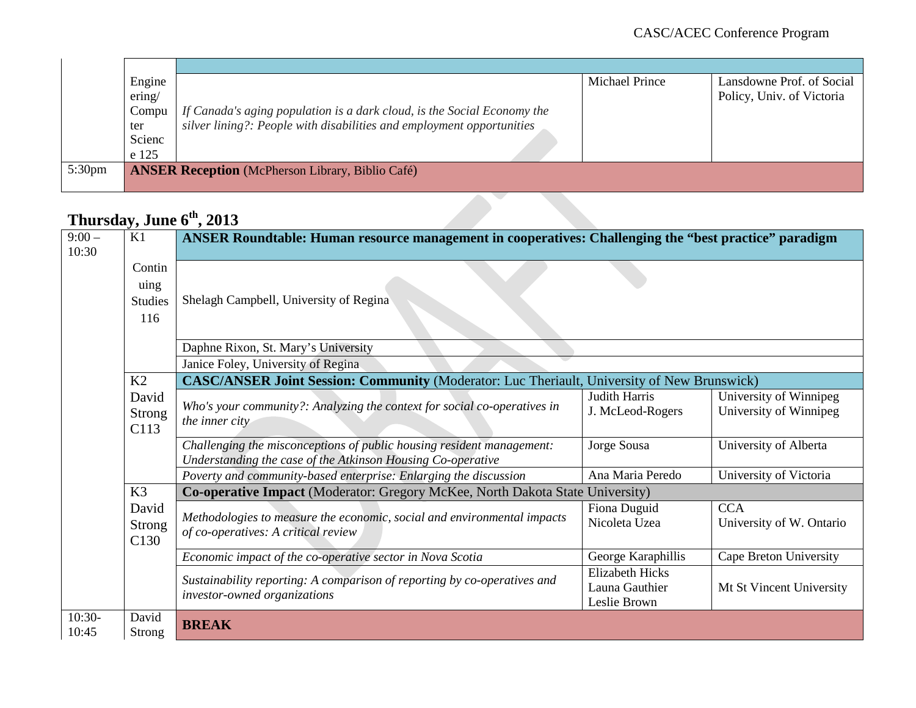|                    | Engine |                                                                         | Michael Prince | Lansdowne Prof. of Social |
|--------------------|--------|-------------------------------------------------------------------------|----------------|---------------------------|
|                    | ering/ |                                                                         |                | Policy, Univ. of Victoria |
|                    | Compu  | If Canada's aging population is a dark cloud, is the Social Economy the |                |                           |
|                    | ter    | silver lining?: People with disabilities and employment opportunities   |                |                           |
|                    | Scienc |                                                                         |                |                           |
|                    | e 125  |                                                                         |                |                           |
| 5:30 <sub>pm</sub> |        | <b>ANSER Reception</b> (McPherson Library, Biblio Café)                 |                |                           |
|                    |        |                                                                         |                |                           |

### **Thursday, June 6th, 2013**

| $9:00-$<br>10:30  | K1                                         | ANSER Roundtable: Human resource management in cooperatives: Challenging the "best practice" paradigm                                |                                                          |                                                  |
|-------------------|--------------------------------------------|--------------------------------------------------------------------------------------------------------------------------------------|----------------------------------------------------------|--------------------------------------------------|
|                   | Contin<br>uing<br><b>Studies</b><br>116    | Shelagh Campbell, University of Regina                                                                                               |                                                          |                                                  |
|                   |                                            | Daphne Rixon, St. Mary's University                                                                                                  |                                                          |                                                  |
|                   |                                            | Janice Foley, University of Regina                                                                                                   |                                                          |                                                  |
|                   | K2                                         | <b>CASC/ANSER Joint Session: Community (Moderator: Luc Theriault, University of New Brunswick)</b>                                   |                                                          |                                                  |
|                   | David<br><b>Strong</b><br>C113             | Who's your community?: Analyzing the context for social co-operatives in<br>the inner city                                           | <b>Judith Harris</b><br>J. McLeod-Rogers                 | University of Winnipeg<br>University of Winnipeg |
|                   |                                            | Challenging the misconceptions of public housing resident management:<br>Understanding the case of the Atkinson Housing Co-operative | Jorge Sousa                                              | University of Alberta                            |
|                   |                                            | Poverty and community-based enterprise: Enlarging the discussion                                                                     | Ana Maria Peredo                                         | University of Victoria                           |
|                   | K3                                         | Co-operative Impact (Moderator: Gregory McKee, North Dakota State University)                                                        |                                                          |                                                  |
|                   | David<br><b>Strong</b><br>C <sub>130</sub> | Methodologies to measure the economic, social and environmental impacts<br>of co-operatives: A critical review                       | Fiona Duguid<br>Nicoleta Uzea                            | <b>CCA</b><br>University of W. Ontario           |
|                   |                                            | Economic impact of the co-operative sector in Nova Scotia                                                                            | George Karaphillis                                       | Cape Breton University                           |
|                   |                                            | Sustainability reporting: A comparison of reporting by co-operatives and<br>investor-owned organizations                             | <b>Elizabeth Hicks</b><br>Launa Gauthier<br>Leslie Brown | Mt St Vincent University                         |
| $10:30-$<br>10:45 | David<br>Strong                            | <b>BREAK</b>                                                                                                                         |                                                          |                                                  |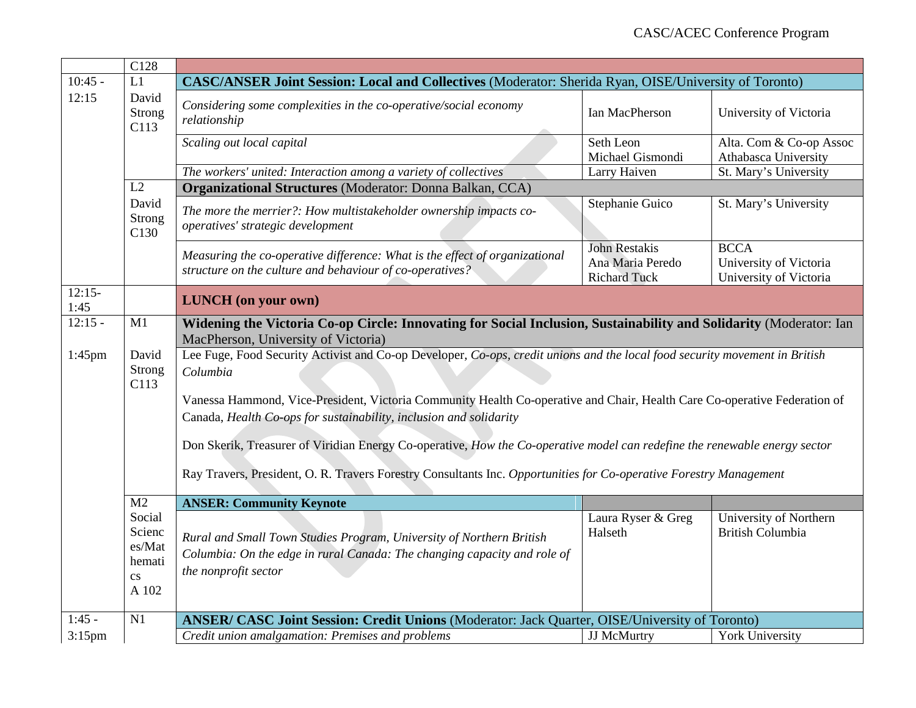|                  | C128                                                                                                                                                               |                                                                                                                                                                                                 |                               |                                                   |  |  |
|------------------|--------------------------------------------------------------------------------------------------------------------------------------------------------------------|-------------------------------------------------------------------------------------------------------------------------------------------------------------------------------------------------|-------------------------------|---------------------------------------------------|--|--|
| $10:45 -$        | L1                                                                                                                                                                 | <b>CASC/ANSER Joint Session: Local and Collectives (Moderator: Sherida Ryan, OISE/University of Toronto)</b>                                                                                    |                               |                                                   |  |  |
| 12:15            | David<br>Strong<br>C113                                                                                                                                            | Considering some complexities in the co-operative/social economy<br>relationship                                                                                                                | Ian MacPherson                | University of Victoria                            |  |  |
|                  |                                                                                                                                                                    | Scaling out local capital                                                                                                                                                                       | Seth Leon<br>Michael Gismondi | Alta. Com & Co-op Assoc<br>Athabasca University   |  |  |
|                  |                                                                                                                                                                    | The workers' united: Interaction among a variety of collectives                                                                                                                                 | Larry Haiven                  | St. Mary's University                             |  |  |
|                  | L2                                                                                                                                                                 | <b>Organizational Structures (Moderator: Donna Balkan, CCA)</b>                                                                                                                                 |                               |                                                   |  |  |
|                  | David<br>Strong<br>C <sub>130</sub>                                                                                                                                | The more the merrier?: How multistakeholder ownership impacts co-<br>operatives' strategic development                                                                                          | Stephanie Guico               | St. Mary's University                             |  |  |
|                  |                                                                                                                                                                    | Measuring the co-operative difference: What is the effect of organizational                                                                                                                     | <b>John Restakis</b>          | <b>BCCA</b>                                       |  |  |
|                  |                                                                                                                                                                    | structure on the culture and behaviour of co-operatives?                                                                                                                                        | Ana Maria Peredo              | University of Victoria                            |  |  |
|                  |                                                                                                                                                                    |                                                                                                                                                                                                 | <b>Richard Tuck</b>           | University of Victoria                            |  |  |
| $12:15-$<br>1:45 |                                                                                                                                                                    | <b>LUNCH</b> (on your own)                                                                                                                                                                      |                               |                                                   |  |  |
| $12:15 -$        | M1                                                                                                                                                                 | Widening the Victoria Co-op Circle: Innovating for Social Inclusion, Sustainability and Solidarity (Moderator: Ian<br>MacPherson, University of Victoria)                                       |                               |                                                   |  |  |
| $1:45$ pm        | Lee Fuge, Food Security Activist and Co-op Developer, Co-ops, credit unions and the local food security movement in British<br>David<br>Strong<br>Columbia<br>C113 |                                                                                                                                                                                                 |                               |                                                   |  |  |
|                  |                                                                                                                                                                    | Vanessa Hammond, Vice-President, Victoria Community Health Co-operative and Chair, Health Care Co-operative Federation of<br>Canada, Health Co-ops for sustainability, inclusion and solidarity |                               |                                                   |  |  |
|                  |                                                                                                                                                                    | Don Skerik, Treasurer of Viridian Energy Co-operative, How the Co-operative model can redefine the renewable energy sector                                                                      |                               |                                                   |  |  |
|                  |                                                                                                                                                                    | Ray Travers, President, O. R. Travers Forestry Consultants Inc. Opportunities for Co-operative Forestry Management                                                                              |                               |                                                   |  |  |
|                  | M <sub>2</sub>                                                                                                                                                     | <b>ANSER: Community Keynote</b>                                                                                                                                                                 |                               |                                                   |  |  |
|                  | Social<br>Scienc<br>es/Mat<br>hemati<br>$\mathbf{c}\mathbf{s}$<br>A 102                                                                                            | Rural and Small Town Studies Program, University of Northern British<br>Columbia: On the edge in rural Canada: The changing capacity and role of<br>the nonprofit sector                        | Laura Ryser & Greg<br>Halseth | University of Northern<br><b>British Columbia</b> |  |  |
| $1:45 -$         | N1                                                                                                                                                                 | <b>ANSER/ CASC Joint Session: Credit Unions (Moderator: Jack Quarter, OISE/University of Toronto)</b>                                                                                           |                               |                                                   |  |  |
| $3:15$ pm        |                                                                                                                                                                    | Credit union amalgamation: Premises and problems                                                                                                                                                | JJ McMurtry                   | <b>York University</b>                            |  |  |